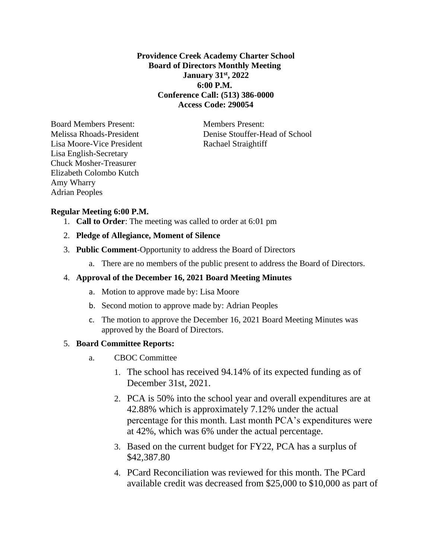# **Providence Creek Academy Charter School Board of Directors Monthly Meeting January 31st, 2022 6:00 P.M. Conference Call: (513) 386-0000 Access Code: 290054**

Board Members Present: Members Present: Lisa Moore-Vice President Rachael Straightiff Lisa English-Secretary Chuck Mosher-Treasurer Elizabeth Colombo Kutch Amy Wharry Adrian Peoples

Melissa Rhoads-President Denise Stouffer-Head of School

# **Regular Meeting 6:00 P.M.**

- 1. **Call to Order**: The meeting was called to order at 6:01 pm
- 2. **Pledge of Allegiance, Moment of Silence**
- 3. **Public Comment**-Opportunity to address the Board of Directors
	- a. There are no members of the public present to address the Board of Directors.

## 4. **Approval of the December 16, 2021 Board Meeting Minutes**

- a. Motion to approve made by: Lisa Moore
- b. Second motion to approve made by: Adrian Peoples
- c. The motion to approve the December 16, 2021 Board Meeting Minutes was approved by the Board of Directors.

# 5. **Board Committee Reports:**

- a. CBOC Committee
	- 1. The school has received 94.14% of its expected funding as of December 31st, 2021.
	- 2. PCA is 50% into the school year and overall expenditures are at 42.88% which is approximately 7.12% under the actual percentage for this month. Last month PCA's expenditures were at 42%, which was 6% under the actual percentage.
	- 3. Based on the current budget for FY22, PCA has a surplus of \$42,387.80
	- 4. PCard Reconciliation was reviewed for this month. The PCard available credit was decreased from \$25,000 to \$10,000 as part of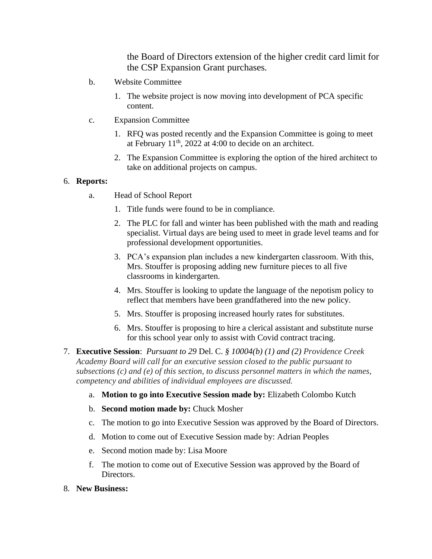the Board of Directors extension of the higher credit card limit for the CSP Expansion Grant purchases.

- b. Website Committee
	- 1. The website project is now moving into development of PCA specific content.
- c. Expansion Committee
	- 1. RFQ was posted recently and the Expansion Committee is going to meet at February  $11<sup>th</sup>$ , 2022 at 4:00 to decide on an architect.
	- 2. The Expansion Committee is exploring the option of the hired architect to take on additional projects on campus.

### 6. **Reports:**

- a. Head of School Report
	- 1. Title funds were found to be in compliance.
	- 2. The PLC for fall and winter has been published with the math and reading specialist. Virtual days are being used to meet in grade level teams and for professional development opportunities.
	- 3. PCA's expansion plan includes a new kindergarten classroom. With this, Mrs. Stouffer is proposing adding new furniture pieces to all five classrooms in kindergarten.
	- 4. Mrs. Stouffer is looking to update the language of the nepotism policy to reflect that members have been grandfathered into the new policy.
	- 5. Mrs. Stouffer is proposing increased hourly rates for substitutes.
	- 6. Mrs. Stouffer is proposing to hire a clerical assistant and substitute nurse for this school year only to assist with Covid contract tracing.
- 7. **Executive Session**: *Pursuant to 29* Del. C. *§ 10004(b) (1) and (2) Providence Creek Academy Board will call for an executive session closed to the public pursuant to subsections (c) and (e) of this section, to discuss personnel matters in which the names, competency and abilities of individual employees are discussed.*
	- a. **Motion to go into Executive Session made by:** Elizabeth Colombo Kutch
	- b. **Second motion made by:** Chuck Mosher
	- c. The motion to go into Executive Session was approved by the Board of Directors.
	- d. Motion to come out of Executive Session made by: Adrian Peoples
	- e. Second motion made by: Lisa Moore
	- f. The motion to come out of Executive Session was approved by the Board of Directors.
- 8. **New Business:**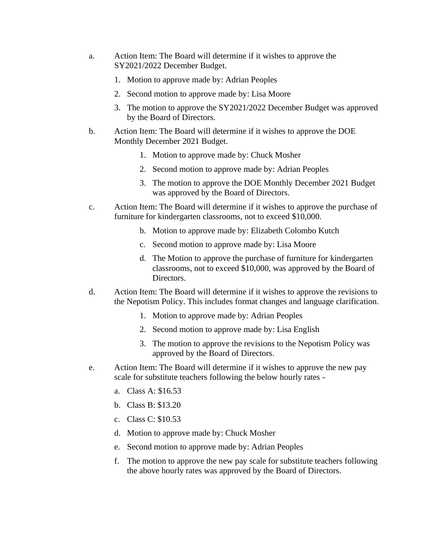- a. Action Item: The Board will determine if it wishes to approve the SY2021/2022 December Budget.
	- 1. Motion to approve made by: Adrian Peoples
	- 2. Second motion to approve made by: Lisa Moore
	- 3. The motion to approve the SY2021/2022 December Budget was approved by the Board of Directors.
- b. Action Item: The Board will determine if it wishes to approve the DOE Monthly December 2021 Budget.
	- 1. Motion to approve made by: Chuck Mosher
	- 2. Second motion to approve made by: Adrian Peoples
	- 3. The motion to approve the DOE Monthly December 2021 Budget was approved by the Board of Directors.
- c. Action Item: The Board will determine if it wishes to approve the purchase of furniture for kindergarten classrooms, not to exceed \$10,000.
	- b. Motion to approve made by: Elizabeth Colombo Kutch
	- c. Second motion to approve made by: Lisa Moore
	- d. The Motion to approve the purchase of furniture for kindergarten classrooms, not to exceed \$10,000, was approved by the Board of Directors.
- d. Action Item: The Board will determine if it wishes to approve the revisions to the Nepotism Policy. This includes format changes and language clarification.
	- 1. Motion to approve made by: Adrian Peoples
	- 2. Second motion to approve made by: Lisa English
	- 3. The motion to approve the revisions to the Nepotism Policy was approved by the Board of Directors.
- e. Action Item: The Board will determine if it wishes to approve the new pay scale for substitute teachers following the below hourly rates
	- a. Class A: \$16.53
	- b. Class B: \$13.20
	- c. Class C: \$10.53
	- d. Motion to approve made by: Chuck Mosher
	- e. Second motion to approve made by: Adrian Peoples
	- f. The motion to approve the new pay scale for substitute teachers following the above hourly rates was approved by the Board of Directors.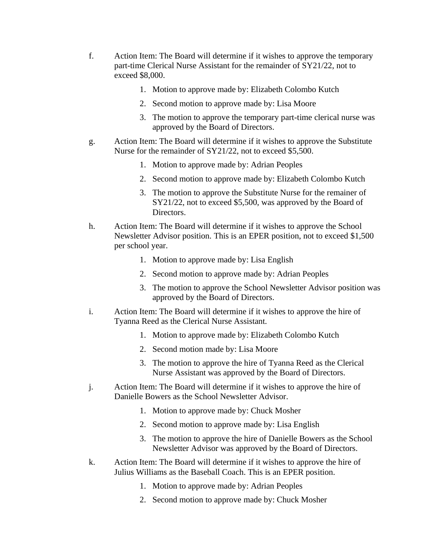- f. Action Item: The Board will determine if it wishes to approve the temporary part-time Clerical Nurse Assistant for the remainder of SY21/22, not to exceed \$8,000.
	- 1. Motion to approve made by: Elizabeth Colombo Kutch
	- 2. Second motion to approve made by: Lisa Moore
	- 3. The motion to approve the temporary part-time clerical nurse was approved by the Board of Directors.
- g. Action Item: The Board will determine if it wishes to approve the Substitute Nurse for the remainder of SY21/22, not to exceed \$5,500.
	- 1. Motion to approve made by: Adrian Peoples
	- 2. Second motion to approve made by: Elizabeth Colombo Kutch
	- 3. The motion to approve the Substitute Nurse for the remainer of SY21/22, not to exceed \$5,500, was approved by the Board of Directors.
- h. Action Item: The Board will determine if it wishes to approve the School Newsletter Advisor position. This is an EPER position, not to exceed \$1,500 per school year.
	- 1. Motion to approve made by: Lisa English
	- 2. Second motion to approve made by: Adrian Peoples
	- 3. The motion to approve the School Newsletter Advisor position was approved by the Board of Directors.
- i. Action Item: The Board will determine if it wishes to approve the hire of Tyanna Reed as the Clerical Nurse Assistant.
	- 1. Motion to approve made by: Elizabeth Colombo Kutch
	- 2. Second motion made by: Lisa Moore
	- 3. The motion to approve the hire of Tyanna Reed as the Clerical Nurse Assistant was approved by the Board of Directors.
- j. Action Item: The Board will determine if it wishes to approve the hire of Danielle Bowers as the School Newsletter Advisor.
	- 1. Motion to approve made by: Chuck Mosher
	- 2. Second motion to approve made by: Lisa English
	- 3. The motion to approve the hire of Danielle Bowers as the School Newsletter Advisor was approved by the Board of Directors.
- k. Action Item: The Board will determine if it wishes to approve the hire of Julius Williams as the Baseball Coach. This is an EPER position.
	- 1. Motion to approve made by: Adrian Peoples
	- 2. Second motion to approve made by: Chuck Mosher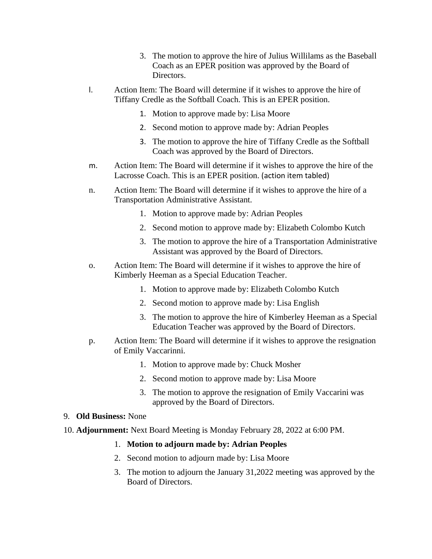- 3. The motion to approve the hire of Julius Willilams as the Baseball Coach as an EPER position was approved by the Board of Directors.
- l. Action Item: The Board will determine if it wishes to approve the hire of Tiffany Credle as the Softball Coach. This is an EPER position.
	- 1. Motion to approve made by: Lisa Moore
	- 2. Second motion to approve made by: Adrian Peoples
	- 3. The motion to approve the hire of Tiffany Credle as the Softball Coach was approved by the Board of Directors.
- m. Action Item: The Board will determine if it wishes to approve the hire of the Lacrosse Coach. This is an EPER position. (action item tabled)
- n. Action Item: The Board will determine if it wishes to approve the hire of a Transportation Administrative Assistant.
	- 1. Motion to approve made by: Adrian Peoples
	- 2. Second motion to approve made by: Elizabeth Colombo Kutch
	- 3. The motion to approve the hire of a Transportation Administrative Assistant was approved by the Board of Directors.
- o. Action Item: The Board will determine if it wishes to approve the hire of Kimberly Heeman as a Special Education Teacher.
	- 1. Motion to approve made by: Elizabeth Colombo Kutch
	- 2. Second motion to approve made by: Lisa English
	- 3. The motion to approve the hire of Kimberley Heeman as a Special Education Teacher was approved by the Board of Directors.
- p. Action Item: The Board will determine if it wishes to approve the resignation of Emily Vaccarinni.
	- 1. Motion to approve made by: Chuck Mosher
	- 2. Second motion to approve made by: Lisa Moore
	- 3. The motion to approve the resignation of Emily Vaccarini was approved by the Board of Directors.

#### 9. **Old Business:** None

10. **Adjournment:** Next Board Meeting is Monday February 28, 2022 at 6:00 PM.

#### 1. **Motion to adjourn made by: Adrian Peoples**

- 2. Second motion to adjourn made by: Lisa Moore
- 3. The motion to adjourn the January 31,2022 meeting was approved by the Board of Directors.